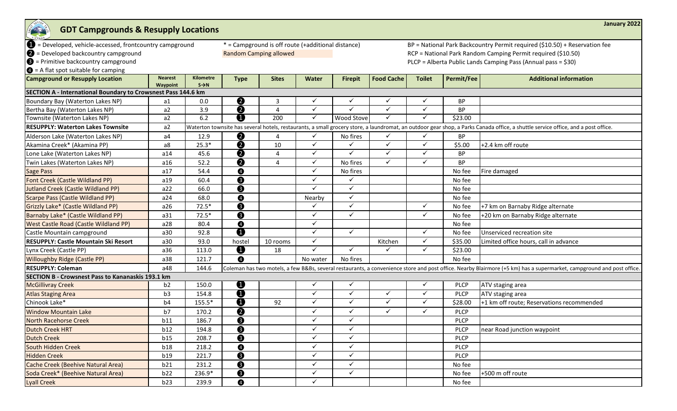| STATISTICS OF<br><b>GDT Campgrounds &amp; Resupply Locations</b> |                            |                                       |                                                                                               |                                                    |              |                |                                                                            |               |             | January 2022                                                                                                                                                                      |  |  |
|------------------------------------------------------------------|----------------------------|---------------------------------------|-----------------------------------------------------------------------------------------------|----------------------------------------------------|--------------|----------------|----------------------------------------------------------------------------|---------------|-------------|-----------------------------------------------------------------------------------------------------------------------------------------------------------------------------------|--|--|
| D = Developed, vehicle-accessed, frontcountry campground         |                            |                                       |                                                                                               | * = Campground is off route (+additional distance) |              |                | BP = National Park Backcountry Permit required (\$10.50) + Reservation fee |               |             |                                                                                                                                                                                   |  |  |
| $\bullet$ = Developed backcountry campground                     |                            |                                       | <b>Random Camping allowed</b><br>RCP = National Park Random Camping Permit required (\$10.50) |                                                    |              |                |                                                                            |               |             |                                                                                                                                                                                   |  |  |
| $\bigcirc$ = Primitive backcountry campground                    |                            |                                       |                                                                                               |                                                    |              |                |                                                                            |               |             | PLCP = Alberta Public Lands Camping Pass (Annual pass = \$30)                                                                                                                     |  |  |
| $\bullet$ = A flat spot suitable for camping                     |                            |                                       |                                                                                               |                                                    |              |                |                                                                            |               |             |                                                                                                                                                                                   |  |  |
| <b>Campground or Resupply Location</b>                           | <b>Nearest</b><br>Waypoint | <b>Kilometre</b><br>$S \rightarrow N$ | <b>Type</b>                                                                                   | <b>Sites</b>                                       | <b>Water</b> | <b>Firepit</b> | <b>Food Cache</b>                                                          | <b>Toilet</b> | Permit/Fee  | <b>Additional information</b>                                                                                                                                                     |  |  |
| SECTION A - International Boundary to Crowsnest Pass 144.6 km    |                            |                                       |                                                                                               |                                                    |              |                |                                                                            |               |             |                                                                                                                                                                                   |  |  |
| Boundary Bay (Waterton Lakes NP)                                 | a1                         | 0.0                                   | <u>ଡ</u>                                                                                      | 3                                                  | ✓            | $\checkmark$   | ✓                                                                          | ✓             | BP          |                                                                                                                                                                                   |  |  |
| Bertha Bay (Waterton Lakes NP)                                   | a2                         | 3.9                                   | Ó                                                                                             | 4                                                  | $\checkmark$ | $\checkmark$   | $\checkmark$                                                               | ✓             | BP          |                                                                                                                                                                                   |  |  |
| Townsite (Waterton Lakes NP)                                     | a2                         | 6.2                                   | ❹                                                                                             | $\overline{200}$                                   | $\checkmark$ | Wood Stove     | $\checkmark$                                                               | ✓             | \$23.00     |                                                                                                                                                                                   |  |  |
| <b>RESUPPLY: Waterton Lakes Townsite</b>                         | a2                         |                                       |                                                                                               |                                                    |              |                |                                                                            |               |             | Waterton townsite has several hotels, restaurants, a small grocery store, a laundromat, an outdoor gear shop, a Parks Canada office, a shuttle service office, and a post office. |  |  |
| Alderson Lake (Waterton Lakes NP)                                | a4                         | 12.9                                  | ❷                                                                                             | Δ                                                  | $\checkmark$ | No fires       | $\checkmark$                                                               | ✓             | <b>BP</b>   |                                                                                                                                                                                   |  |  |
| Akamina Creek* (Akamina PP)                                      | a8                         | $25.3*$                               | 0                                                                                             | 10                                                 | ✓            | $\checkmark$   | $\checkmark$                                                               | ✓             | \$5.00      | +2.4 km off route                                                                                                                                                                 |  |  |
| Lone Lake (Waterton Lakes NP)                                    | a14                        | 45.6                                  | $\overline{\bm{Q}}$                                                                           | 4                                                  | $\checkmark$ | $\checkmark$   | $\checkmark$                                                               | ✓             | <b>BP</b>   |                                                                                                                                                                                   |  |  |
| Twin Lakes (Waterton Lakes NP)                                   | a16                        | 52.2                                  | ❷                                                                                             | 4                                                  | ✓            | No fires       | $\checkmark$                                                               | ✓             | <b>BP</b>   |                                                                                                                                                                                   |  |  |
| <b>Sage Pass</b>                                                 | a17                        | 54.4                                  | $\bullet$                                                                                     |                                                    | $\checkmark$ | No fires       |                                                                            |               | No fee      | Fire damaged                                                                                                                                                                      |  |  |
| Font Creek (Castle Wildland PP)                                  | a19                        | 60.4                                  | ❸                                                                                             |                                                    | ✓            | $\checkmark$   |                                                                            |               | No fee      |                                                                                                                                                                                   |  |  |
| <b>Jutland Creek (Castle Wildland PP)</b>                        | a22                        | 66.0                                  | ❸                                                                                             |                                                    | ✓            | $\checkmark$   |                                                                            |               | No fee      |                                                                                                                                                                                   |  |  |
| <b>Scarpe Pass (Castle Wildland PP)</b>                          | a24                        | 68.0                                  | $\bullet$                                                                                     |                                                    | Nearby       | $\checkmark$   |                                                                            |               | No fee      |                                                                                                                                                                                   |  |  |
| Grizzly Lake* (Castle Wildland PP)                               | a26                        | $72.5*$                               | ❸                                                                                             |                                                    | $\checkmark$ | $\checkmark$   |                                                                            | ✓             | No fee      | +7 km on Barnaby Ridge alternate                                                                                                                                                  |  |  |
| Barnaby Lake* (Castle Wildland PP)                               | a31                        | $72.5*$                               | ❸                                                                                             |                                                    | ✓            | $\checkmark$   |                                                                            | ✓             | No fee      | +20 km on Barnaby Ridge alternate                                                                                                                                                 |  |  |
| <b>West Castle Road (Castle Wildland PP)</b>                     | a28                        | 80.4                                  | $\bullet$                                                                                     |                                                    | ✓            |                |                                                                            |               | No fee      |                                                                                                                                                                                   |  |  |
| Castle Mountain campground                                       | a30                        | 92.8                                  | $\bf 0$                                                                                       |                                                    | ✓            | $\checkmark$   |                                                                            | ✓             | No fee      | Unserviced recreation site                                                                                                                                                        |  |  |
| <b>RESUPPLY: Castle Mountain Ski Resort</b>                      | a30                        | 93.0                                  | hostel                                                                                        | 10 rooms                                           | $\checkmark$ |                | Kitchen                                                                    | ✓             | \$35.00     | Limited office hours, call in advance                                                                                                                                             |  |  |
| Lynx Creek (Castle PP)                                           | a36                        | 113.0                                 | $\bf 0$                                                                                       | 18                                                 | $\checkmark$ | $\checkmark$   | ✓                                                                          | ✓             | \$23.00     |                                                                                                                                                                                   |  |  |
| <b>Willoughby Ridge (Castle PP)</b>                              | a38                        | 121.7                                 | $\bullet$                                                                                     |                                                    | No water     | No fires       |                                                                            |               | No fee      |                                                                                                                                                                                   |  |  |
| <b>RESUPPLY: Coleman</b>                                         | a48                        | 144.6                                 |                                                                                               |                                                    |              |                |                                                                            |               |             | Coleman has two motels, a few B&Bs, several restaurants, a convenience store and post office. Nearby Blairmore (+5 km) has a supermarket, campground and post office.             |  |  |
| SECTION B - Crowsnest Pass to Kananaskis 193.1 km                |                            |                                       |                                                                                               |                                                    |              |                |                                                                            |               |             |                                                                                                                                                                                   |  |  |
| <b>McGillivray Creek</b>                                         | b <sub>2</sub>             | 150.0                                 | Ø                                                                                             |                                                    | $\checkmark$ | $\checkmark$   |                                                                            | $\checkmark$  | <b>PLCP</b> | ATV staging area                                                                                                                                                                  |  |  |
| <b>Atlas Staging Area</b>                                        | b <sub>3</sub>             | 154.8                                 | $\boldsymbol{0}$                                                                              |                                                    | ✓            | $\checkmark$   | $\checkmark$                                                               | $\checkmark$  | <b>PLCP</b> | ATV staging area                                                                                                                                                                  |  |  |
| Chinook Lake*                                                    | b4                         | 155.5*                                | $\boldsymbol{0}$                                                                              | 92                                                 | $\checkmark$ | $\checkmark$   | $\checkmark$                                                               | ✓             | \$28.00     | +1 km off route; Reservations recommended                                                                                                                                         |  |  |
| <b>Window Mountain Lake</b>                                      | b7                         | 170.2                                 | $\boldsymbol{Q}$                                                                              |                                                    | ✓            | $\checkmark$   | $\checkmark$                                                               | ✓             | <b>PLCP</b> |                                                                                                                                                                                   |  |  |
| <b>North Racehorse Creek</b>                                     | b11                        | 186.7                                 | $\bigcirc$                                                                                    |                                                    | ✓            | ✓              |                                                                            |               | <b>PLCP</b> |                                                                                                                                                                                   |  |  |
| <b>Dutch Creek HRT</b>                                           | b12                        | 194.8                                 | ❸                                                                                             |                                                    | $\checkmark$ | $\checkmark$   |                                                                            |               | <b>PLCP</b> | near Road junction waypoint                                                                                                                                                       |  |  |
| <b>Dutch Creek</b>                                               | b15                        | 208.7                                 | ❸                                                                                             |                                                    | $\checkmark$ | $\checkmark$   |                                                                            |               | <b>PLCP</b> |                                                                                                                                                                                   |  |  |
| South Hidden Creek                                               | b18                        | 218.2                                 | $\bullet$                                                                                     |                                                    | ✓            | $\checkmark$   |                                                                            |               | <b>PLCP</b> |                                                                                                                                                                                   |  |  |
| <b>Hidden Creek</b>                                              | b19                        | 221.7                                 | $\bigcirc$                                                                                    |                                                    | $\checkmark$ | $\checkmark$   |                                                                            |               | <b>PLCP</b> |                                                                                                                                                                                   |  |  |
| Cache Creek (Beehive Natural Area)                               | b21                        | 231.2                                 | ❸                                                                                             |                                                    | ✓            | $\checkmark$   |                                                                            |               | No fee      |                                                                                                                                                                                   |  |  |
| Soda Creek* (Beehive Natural Area)                               | b22                        | 236.9*                                | ❸                                                                                             |                                                    | ✓            | $\checkmark$   |                                                                            |               | No fee      | +500 m off route                                                                                                                                                                  |  |  |
| Lyall Creek                                                      | b23                        | 239.9                                 | $\bullet$                                                                                     |                                                    | ✓            |                |                                                                            |               | No fee      |                                                                                                                                                                                   |  |  |

**January 2022**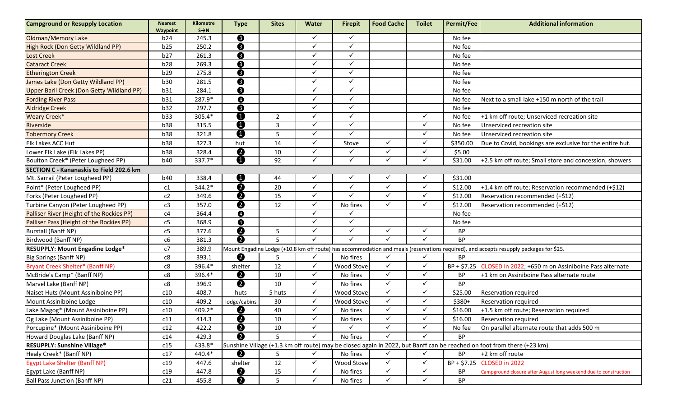| <b>Campground or Resupply Location</b>    | <b>Nearest</b><br>Waypoint | Kilometre<br>$S \rightarrow N$ | <b>Type</b>             | <b>Sites</b>   | Water        | <b>Firepit</b> | <b>Food Cache</b> | <b>Toilet</b> | <b>Permit/Fee</b> | <b>Additional information</b>                                                                                                          |
|-------------------------------------------|----------------------------|--------------------------------|-------------------------|----------------|--------------|----------------|-------------------|---------------|-------------------|----------------------------------------------------------------------------------------------------------------------------------------|
| Oldman/Memory Lake                        | b24                        | 245.3                          | ❸                       |                | $\checkmark$ | $\checkmark$   |                   |               | No fee            |                                                                                                                                        |
| High Rock (Don Getty Wildland PP)         | b25                        | 250.2                          | $\bullet$               |                | $\checkmark$ | ✓              |                   |               | No fee            |                                                                                                                                        |
| Lost Creek                                | b27                        | 261.3                          | $\bullet$               |                | $\checkmark$ | ✓              |                   |               | No fee            |                                                                                                                                        |
| <b>Cataract Creek</b>                     | b28                        | 269.3                          | ❸                       |                | $\checkmark$ | ✓              |                   |               | No fee            |                                                                                                                                        |
| <b>Etherington Creek</b>                  | b29                        | 275.8                          | ❸                       |                | ✓            | ✓              |                   |               | No fee            |                                                                                                                                        |
| James Lake (Don Getty Wildland PP)        | b30                        | 281.5                          | ❸                       |                | $\checkmark$ | ✓              |                   |               | No fee            |                                                                                                                                        |
| Upper Baril Creek (Don Getty Wildland PP) | b31                        | 284.1                          | ❸                       |                | $\checkmark$ | ✓              |                   |               | No fee            |                                                                                                                                        |
| <b>Fording River Pass</b>                 | b31                        | 287.9*                         | $\bullet$               |                | $\checkmark$ | ✓              |                   |               | No fee            | Next to a small lake +150 m north of the trail                                                                                         |
| <b>Aldridge Creek</b>                     | b32                        | 297.7                          | $\boldsymbol{\Theta}$   |                | $\checkmark$ | ✓              |                   |               | No fee            |                                                                                                                                        |
| <b>Weary Creek*</b>                       | b33                        | 305.4*                         | ❶                       | 2              | $\checkmark$ | ✓              |                   | $\checkmark$  | No fee            | +1 km off route; Unserviced recreation site                                                                                            |
| Riverside                                 | <b>b38</b>                 | 315.5                          | $\overline{\bm{0}}$     | $\overline{3}$ | $\checkmark$ | ✓              |                   | $\checkmark$  | No fee            | Unserviced recreation site                                                                                                             |
| <b>Tobermory Creek</b>                    | <b>b38</b>                 | 321.8                          | ❶                       | 5              | $\checkmark$ | $\checkmark$   |                   | $\checkmark$  | No fee            | Unserviced recreation site                                                                                                             |
| Elk Lakes ACC Hut                         | <b>b38</b>                 | 327.3                          | hut                     | 14             | $\checkmark$ | Stove          | $\checkmark$      | $\checkmark$  | \$350.00          | Due to Covid, bookings are exclusive for the entire hut.                                                                               |
| Lower Elk Lake (Elk Lakes PP)             | <b>b38</b>                 | 328.4                          | $\overline{\bm{6}}$     | 10             | $\checkmark$ |                | ✓                 | $\checkmark$  | \$5.00            |                                                                                                                                        |
| Boulton Creek* (Peter Lougheed PP)        | b40                        | 337.7*                         |                         | 92             | $\checkmark$ | $\checkmark$   | $\checkmark$      | $\checkmark$  | \$31.00           | +2.5 km off route; Small store and concession, showers                                                                                 |
| SECTION C - Kananaskis to Field 202.6 km  |                            |                                |                         |                |              |                |                   |               |                   |                                                                                                                                        |
| Mt. Sarrail (Peter Lougheed PP)           | b40                        | 338.4                          | ❶                       | 44             |              | ✓              | ✓                 | $\checkmark$  | \$31.00           |                                                                                                                                        |
| Point* (Peter Lougheed PP)                | c1                         | 344.2*                         | $\boldsymbol{Q}$        | 20             | $\checkmark$ | ✓              | $\checkmark$      | $\checkmark$  | \$12.00           | +1.4 km off route; Reservation recommended (+\$12)                                                                                     |
| Forks (Peter Lougheed PP)                 | c2                         | 349.6                          | $\overline{\bm{Q}}$     | 15             | $\checkmark$ | ✓              | $\checkmark$      | $\checkmark$  | \$12.00           | Reservation recommended (+\$12)                                                                                                        |
| Turbine Canyon (Peter Lougheed PP)        | c3                         | 357.0                          | $\bullet$               | 12             | $\checkmark$ | No fires       | $\checkmark$      | $\checkmark$  | \$12.00           | Reservation recommended (+\$12)                                                                                                        |
| Palliser River (Height of the Rockies PP) | c4                         | 364.4                          | ❹                       |                | $\checkmark$ |                |                   |               | No fee            |                                                                                                                                        |
| Palliser Pass (Height of the Rockies PP)  | c5                         | 368.9                          | $\bullet$               |                | $\checkmark$ | ✓              |                   |               | No fee            |                                                                                                                                        |
| Burstall (Banff NP)                       | c5                         | 377.6                          | $\bullet$               | 5              | $\checkmark$ | ✓              | ✓                 | ✓             | ВP                |                                                                                                                                        |
| Birdwood (Banff NP)                       | c6                         | 381.3                          | $\bullet$               | 5              | $\checkmark$ | ✓              | ✓                 | ✓             | <b>BP</b>         |                                                                                                                                        |
| <b>RESUPPLY: Mount Engadine Lodge*</b>    | c7                         | 389.9                          |                         |                |              |                |                   |               |                   | Mount Engadine Lodge (+10.8 km off route) has accommodation and meals (reservations required), and accepts resupply packages for \$25. |
| Big Springs (Banff NP)                    | c8                         | 393.1                          | ❷                       | 5              | ✓            | No fires       | ✓                 | ✓             | <b>BP</b>         |                                                                                                                                        |
| Bryant Creek Shelter* (Banff NP)          | c8                         | 396.4*                         | shelter                 | 12             | $\checkmark$ | Wood Stove     | $\checkmark$      | $\checkmark$  | $BP + $7.25$      | CLOSED in 2022; +650 m on Assiniboine Pass alternate                                                                                   |
| McBride's Camp* (Banff NP)                | c8                         | 396.4*                         | $\boldsymbol{Q}$        | 10             | $\checkmark$ | No fires       | $\checkmark$      | $\checkmark$  | <b>BP</b>         | +1 km on Assiniboine Pass alternate route                                                                                              |
| Marvel Lake (Banff NP)                    | c8                         | 396.9                          | $\overline{\mathbf{e}}$ | 10             | $\checkmark$ | No fires       | $\checkmark$      | $\checkmark$  | <b>BP</b>         |                                                                                                                                        |
| Naiset Huts (Mount Assiniboine PP)        | c10                        | 408.7                          | huts                    | 5 huts         | $\checkmark$ | Wood Stove     | $\checkmark$      | $\checkmark$  | \$25.00           | Reservation required                                                                                                                   |
| Mount Assiniboine Lodge                   | c10                        | 409.2                          | lodge/cabins            | 30             | $\checkmark$ | Wood Stove     | $\checkmark$      | $\checkmark$  | $$380+$           | Reservation required                                                                                                                   |
| Lake Magog* (Mount Assiniboine PP)        | c10                        | 409.2*                         | ❷                       | 40             | ✓            | No fires       | $\checkmark$      | ✓             | \$16.00           | +1.5 km off route; Reservation required                                                                                                |
| Og Lake (Mount Assiniboine PP)            | c11                        | 414.3                          | $\bullet$               | $10\,$         | $\checkmark$ | No fires       | ✓                 | ✓             | \$16.00           | Reservation required                                                                                                                   |
| Porcupine* (Mount Assiniboine PP)         | c12                        | 422.2                          | $\overline{\mathbf{Q}}$ | 10             | $\checkmark$ | ✓              | $\checkmark$      | $\checkmark$  | No fee            | On parallel alternate route that adds 500 m                                                                                            |
| Howard Douglas Lake (Banff NP)            | c14                        | 429.3                          | $\bullet$               |                | $\checkmark$ | No fires       | ✓                 |               | <b>BP</b>         |                                                                                                                                        |
| <b>RESUPPLY: Sunshine Village*</b>        | c15                        | 433.8*                         |                         |                |              |                |                   |               |                   | Sunshine Village (+1.3 km off route) may be closed again in 2022, but Banff can be reached on foot from there (+23 km).                |
| Healy Creek* (Banff NP)                   | c17                        | 440.4*                         | ❷                       | 5              | ✓            | No fires       | $\checkmark$      | $\checkmark$  | BP                | +2 km off route                                                                                                                        |
| <b>Egypt Lake Shelter (Banff NP)</b>      | c19                        | 447.6                          | shelter                 | 12             | $\checkmark$ | Wood Stove     | $\checkmark$      | $\checkmark$  | $BP + $7.25$      | CLOSED in 2022                                                                                                                         |
| Egypt Lake (Banff NP)                     | c19                        | 447.8                          | $\boldsymbol{Q}$        | 15             | $\checkmark$ | No fires       | $\checkmark$      | $\checkmark$  | ВP                | Campground closure after August long weekend due to construction                                                                       |
| Ball Pass Junction (Banff NP)             | c21                        | 455.8                          | $\bullet$               | 5              | $\checkmark$ | No fires       | $\checkmark$      | $\checkmark$  | <b>BP</b>         |                                                                                                                                        |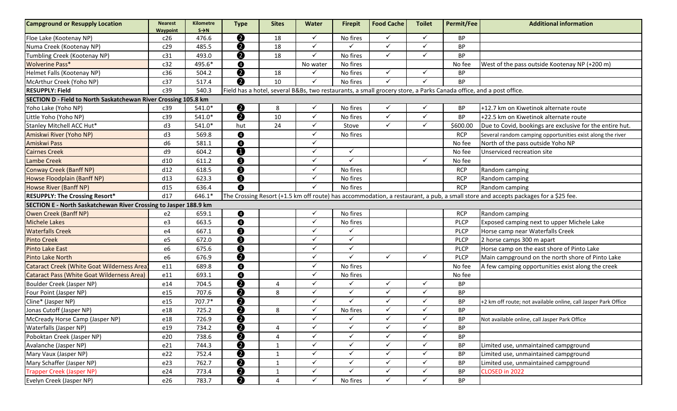| <b>Campground or Resupply Location</b>                           | <b>Nearest</b><br>Waypoint | <b>Kilometre</b><br>$S \rightarrow N$ | <b>Type</b>             | <b>Sites</b> | <b>Water</b> | <b>Firepit</b> | <b>Food Cache</b> | <b>Toilet</b> | <b>Permit/Fee</b> | <b>Additional information</b>                                                                                                      |  |  |
|------------------------------------------------------------------|----------------------------|---------------------------------------|-------------------------|--------------|--------------|----------------|-------------------|---------------|-------------------|------------------------------------------------------------------------------------------------------------------------------------|--|--|
| Floe Lake (Kootenay NP)                                          | c26                        | 476.6                                 | ❷                       | 18           | $\checkmark$ | No fires       | ✓                 | $\checkmark$  | <b>BP</b>         |                                                                                                                                    |  |  |
| Numa Creek (Kootenay NP)                                         | c29                        | 485.5                                 | 0                       | 18           | $\checkmark$ | ✓              | ✓                 | $\checkmark$  | ВP                |                                                                                                                                    |  |  |
| Tumbling Creek (Kootenay NP)                                     | c31                        | 493.0                                 | 0                       | 18           | $\checkmark$ | No fires       | ✓                 | ✓             | BP                |                                                                                                                                    |  |  |
| <b>Wolverine Pass*</b>                                           | c32                        | 495.6*                                | ❹                       |              | No water     | No fires       |                   |               | No fee            | West of the pass outside Kootenay NP (+200 m)                                                                                      |  |  |
| Helmet Falls (Kootenay NP)                                       | c36                        | 504.2                                 | ❷                       | 18           | $\checkmark$ | No fires       | ✓                 | ✓             | BP                |                                                                                                                                    |  |  |
| McArthur Creek (Yoho NP)                                         | c37                        | 517.4                                 | ❷                       | 10           | $\checkmark$ | No fires       | $\checkmark$      | $\checkmark$  | <b>BP</b>         |                                                                                                                                    |  |  |
| <b>RESUPPLY: Field</b>                                           | c39                        | 540.3                                 |                         |              |              |                |                   |               |                   | Field has a hotel, several B&Bs, two restaurants, a small grocery store, a Parks Canada office, and a post office.                 |  |  |
| SECTION D - Field to North Saskatchewan River Crossing 105.8 km  |                            |                                       |                         |              |              |                |                   |               |                   |                                                                                                                                    |  |  |
| Yoho Lake (Yoho NP)                                              | c39                        | 541.0*                                | $\boldsymbol{Q}$        | 8            | $\checkmark$ | No fires       | $\checkmark$      | ✓             | BP                | +12.7 km on Kiwetinok alternate route                                                                                              |  |  |
| Little Yoho (Yoho NP)                                            | c39                        | $541.0*$                              | $\boldsymbol{Q}$        | 10           | $\checkmark$ | No fires       | ✓                 | ✓             | BP                | +22.5 km on Kiwetinok alternate route                                                                                              |  |  |
| Stanley Mitchell ACC Hut*                                        | d3                         | 541.0*                                | hut                     | 24           | $\checkmark$ | Stove          | ✓                 | $\checkmark$  | \$600.00          | Due to Covid, bookings are exclusive for the entire hut.                                                                           |  |  |
| Amiskwi River (Yoho NP)                                          | d3                         | 569.8                                 | ❹                       |              | $\checkmark$ | No fires       |                   |               | <b>RCP</b>        | Several random camping opportunities exist along the river                                                                         |  |  |
| Amiskwi Pass                                                     | d6                         | 581.1                                 | $\bullet$               |              | $\checkmark$ |                |                   |               | No fee            | North of the pass outside Yoho NP                                                                                                  |  |  |
| <b>Cairnes Creek</b>                                             | d9                         | 604.2                                 | O                       |              | $\checkmark$ | ✓              |                   |               | No fee            | Unserviced recreation site                                                                                                         |  |  |
| <b>Lambe Creek</b>                                               | d10                        | 611.2                                 | ❸                       |              | $\checkmark$ | ✓              |                   | $\checkmark$  | No fee            |                                                                                                                                    |  |  |
| Conway Creek (Banff NP)                                          | d12                        | 618.5                                 | ❸                       |              | $\checkmark$ | No fires       |                   |               | <b>RCP</b>        | Random camping                                                                                                                     |  |  |
| Howse Floodplain (Banff NP)                                      | d13                        | 623.3                                 | $\bullet$               |              | $\checkmark$ | No fires       |                   |               | <b>RCP</b>        | Random camping                                                                                                                     |  |  |
| Howse River (Banff NP)                                           | d15                        | 636.4                                 | $\bullet$               |              | $\checkmark$ | No fires       |                   |               | <b>RCP</b>        | Random camping                                                                                                                     |  |  |
| <b>RESUPPLY: The Crossing Resort*</b>                            | d17                        | 646.1*                                |                         |              |              |                |                   |               |                   | The Crossing Resort (+1.5 km off route) has accommodation, a restaurant, a pub, a small store and accepts packages for a \$25 fee. |  |  |
| SECTION E - North Saskatchewan River Crossing to Jasper 188.9 km |                            |                                       |                         |              |              |                |                   |               |                   |                                                                                                                                    |  |  |
| Owen Creek (Banff NP)                                            | e <sub>2</sub>             | 659.1                                 | $\bullet$               |              | $\checkmark$ | No fires       |                   |               | <b>RCP</b>        | Random camping                                                                                                                     |  |  |
| <b>Michele Lakes</b>                                             | e3                         | 663.5                                 | $\bullet$               |              | $\checkmark$ | No fires       |                   |               | <b>PLCP</b>       | Exposed camping next to upper Michele Lake                                                                                         |  |  |
| <b>Waterfalls Creek</b>                                          | e4                         | 667.1                                 | ❸                       |              | $\checkmark$ | ✓              |                   |               | <b>PLCP</b>       | Horse camp near Waterfalls Creek                                                                                                   |  |  |
| <b>Pinto Creek</b>                                               | e5                         | 672.0                                 | ❸                       |              | $\checkmark$ | ✓              |                   |               | <b>PLCP</b>       | 2 horse camps 300 m apart                                                                                                          |  |  |
| <b>Pinto Lake East</b>                                           | e <sub>6</sub>             | 675.6                                 | ❸                       |              | $\checkmark$ | ✓              |                   |               | <b>PLCP</b>       | Horse camp on the east shore of Pinto Lake                                                                                         |  |  |
| <b>Pinto Lake North</b>                                          | e6                         | 676.9                                 | 0                       |              | $\checkmark$ | ✓              | ✓                 | $\checkmark$  | <b>PLCP</b>       | Main campground on the north shore of Pinto Lake                                                                                   |  |  |
| Cataract Creek (White Goat Wilderness Area)                      | e11                        | 689.8                                 | ❹                       |              | $\checkmark$ | No fires       |                   |               | No fee            | A few camping opportunities exist along the creek                                                                                  |  |  |
| <b>Cataract Pass (White Goat Wilderness Area)</b>                | e11                        | 693.1                                 | $\bullet$               |              | $\checkmark$ | No fires       |                   |               | No fee            |                                                                                                                                    |  |  |
| Boulder Creek (Jasper NP)                                        | e14                        | 704.5                                 | 0                       | 4            | $\checkmark$ | ✓              | ✓                 | $\checkmark$  | <b>BP</b>         |                                                                                                                                    |  |  |
| Four Point (Jasper NP)                                           | e15                        | 707.6                                 | ❷                       | 8            | $\checkmark$ | ✓              | ✓                 | $\checkmark$  | BP                |                                                                                                                                    |  |  |
| Cline* (Jasper NP)                                               | e15                        | 707.7*                                | ❷                       |              | $\checkmark$ | ✓              | $\checkmark$      | ✓             | BP                | +2 km off route; not available online, call Jasper Park Office                                                                     |  |  |
| Jonas Cutoff (Jasper NP)                                         | e18                        | 725.2                                 | 0                       | 8            | $\checkmark$ | No fires       | ✓                 | $\checkmark$  | BP                |                                                                                                                                    |  |  |
| McCready Horse Camp (Jasper NP)                                  | e18                        | 726.9                                 | $\boldsymbol{Q}$        |              | $\checkmark$ | ✓              | ✓                 | ✓             | ВP                | Not available online, call Jasper Park Office                                                                                      |  |  |
| Waterfalls (Jasper NP)                                           | e19                        | 734.2                                 | $\overline{\mathbf{e}}$ | 4            | $\checkmark$ | $\checkmark$   | $\checkmark$      | $\checkmark$  | <b>BP</b>         |                                                                                                                                    |  |  |
| Poboktan Creek (Jasper NP)                                       | e20                        | 738.6                                 | ❷                       | 4            | $\checkmark$ | ✓              | $\checkmark$      | $\checkmark$  | <b>BP</b>         |                                                                                                                                    |  |  |
| Avalanche (Jasper NP)                                            | e21                        | 744.3                                 | $\overline{\mathbf{e}}$ | $\mathbf{1}$ | $\checkmark$ | $\checkmark$   | $\checkmark$      | $\checkmark$  | BP                | Limited use, unmaintained campground                                                                                               |  |  |
| Mary Vaux (Jasper NP)                                            | e22                        | 752.4                                 | $\boldsymbol{Q}$        | $\mathbf{1}$ | $\checkmark$ | ✓              | $\checkmark$      | $\checkmark$  | ВP                | Limited use, unmaintained campground                                                                                               |  |  |
| Mary Schaffer (Jasper NP)                                        | e23                        | 762.7                                 | $\bullet$               | $\mathbf{1}$ | $\checkmark$ | ✓              | $\checkmark$      | $\checkmark$  | BP                | Limited use, unmaintained campground                                                                                               |  |  |
| Trapper Creek (Jasper NP)                                        | e24                        | 773.4                                 | $\bullet$               | $\mathbf{1}$ | $\checkmark$ | ✓              | $\checkmark$      | $\checkmark$  | BP                | CLOSED in 2022                                                                                                                     |  |  |
| Evelyn Creek (Jasper NP)                                         | e26                        | 783.7                                 | ❷                       | 4            | $\checkmark$ | No fires       | $\checkmark$      | $\checkmark$  | <b>BP</b>         |                                                                                                                                    |  |  |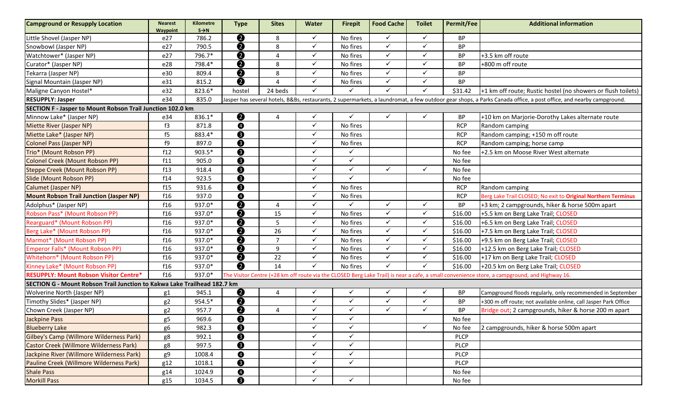| <b>Campground or Resupply Location</b>                                   | <b>Nearest</b><br>Waypoint | Kilometre<br>$S \rightarrow N$ | <b>Type</b>             | <b>Sites</b>   | <b>Water</b> | <b>Firepit</b> | <b>Food Cache</b> | <b>Toilet</b> | <b>Permit/Fee</b> | <b>Additional information</b>                                                                                                                                      |  |  |
|--------------------------------------------------------------------------|----------------------------|--------------------------------|-------------------------|----------------|--------------|----------------|-------------------|---------------|-------------------|--------------------------------------------------------------------------------------------------------------------------------------------------------------------|--|--|
| Little Shovel (Jasper NP)                                                | e27                        | 786.2                          | $\boldsymbol{Q}$        | 8              | $\checkmark$ | No fires       | ✓                 | $\checkmark$  | <b>BP</b>         |                                                                                                                                                                    |  |  |
| Snowbowl (Jasper NP)                                                     | e27                        | 790.5                          | ❷                       | 8              | $\checkmark$ | No fires       | $\checkmark$      | $\checkmark$  | ВP                |                                                                                                                                                                    |  |  |
| Watchtower* (Jasper NP)                                                  | e27                        | 796.7*                         | $\boldsymbol{Q}$        | 4              | $\checkmark$ | No fires       | $\checkmark$      | $\checkmark$  | <b>BP</b>         | +3.5 km off route                                                                                                                                                  |  |  |
| Curator* (Jasper NP)                                                     | e28                        | 798.4*                         | $\overline{\bm{Q}}$     | 8              | $\checkmark$ | No fires       | $\checkmark$      | ✓             | ВP                | +800 m off route                                                                                                                                                   |  |  |
| Tekarra (Jasper NP)                                                      | e30                        | 809.4                          | $\overline{\mathbf{e}}$ | 8              | $\checkmark$ | No fires       | $\checkmark$      | $\checkmark$  | <b>BP</b>         |                                                                                                                                                                    |  |  |
| Signal Mountain (Jasper NP)                                              | e31                        | 815.2                          | Ø                       | $\Delta$       | $\checkmark$ | No fires       | $\checkmark$      | $\checkmark$  | <b>BP</b>         |                                                                                                                                                                    |  |  |
| Maligne Canyon Hostel*                                                   | e32                        | 823.6*                         | hostel                  | 24 beds        | $\checkmark$ |                | ✓                 | ✓             | \$31.42           | +1 km off route; Rustic hostel (no showers or flush toilets)                                                                                                       |  |  |
| <b>RESUPPLY: Jasper</b>                                                  | e34                        | 835.0                          |                         |                |              |                |                   |               |                   | Jasper has several hotels, B&Bs, restaurants, 2 supermarkets, a laundromat, a few outdoor gear shops, a Parks Canada office, a post office, and nearby campground. |  |  |
| SECTION F - Jasper to Mount Robson Trail Junction 102.0 km               |                            |                                |                         |                |              |                |                   |               |                   |                                                                                                                                                                    |  |  |
| Minnow Lake* (Jasper NP)                                                 | e34                        | 836.1*                         | ❷                       | 4              | ✓            | ✓              | ✓                 | $\checkmark$  | BP                | +10 km on Marjorie-Dorothy Lakes alternate route                                                                                                                   |  |  |
| <b>Miette River (Jasper NP)</b>                                          | f3                         | 871.8                          | $\bullet$               |                | $\checkmark$ | No fires       |                   |               | <b>RCP</b>        | Random camping                                                                                                                                                     |  |  |
| Miette Lake* (Jasper NP)                                                 | f5                         | 883.4*                         | $\bullet$               |                | $\checkmark$ | No fires       |                   |               | <b>RCP</b>        | Random camping; +150 m off route                                                                                                                                   |  |  |
| <b>Colonel Pass (Jasper NP)</b>                                          | f9                         | 897.0                          | $\boldsymbol{\Theta}$   |                | $\checkmark$ | No fires       |                   |               | <b>RCP</b>        | Random camping; horse camp                                                                                                                                         |  |  |
| Trio* (Mount Robson PP)                                                  | f12                        | 903.5*                         | ❸                       |                | $\checkmark$ | ✓              |                   |               | No fee            | +2.5 km on Moose River West alternate                                                                                                                              |  |  |
| Colonel Creek (Mount Robson PP)                                          | f11                        | 905.0                          | $\bullet$               |                | $\checkmark$ | ✓              |                   |               | No fee            |                                                                                                                                                                    |  |  |
| <b>Steppe Creek (Mount Robson PP)</b>                                    | f13                        | 918.4                          | ❸                       |                | $\checkmark$ | ✓              | $\checkmark$      | $\checkmark$  | No fee            |                                                                                                                                                                    |  |  |
| Slide (Mount Robson PP)                                                  | f14                        | 923.5                          | ❸                       |                | $\checkmark$ | ✓              |                   |               | No fee            |                                                                                                                                                                    |  |  |
| Calumet (Jasper NP)                                                      | f15                        | 931.6                          | ❸                       |                | $\checkmark$ | No fires       |                   |               | <b>RCP</b>        | Random camping                                                                                                                                                     |  |  |
| <b>Mount Robson Trail Junction (Jasper NP)</b>                           | f16                        | 937.0                          | $\bullet$               |                | $\checkmark$ | No fires       |                   |               | <b>RCP</b>        | Berg Lake Trail CLOSED; No exit to Original Northern Terminus                                                                                                      |  |  |
| Adolphus* (Jasper NP)                                                    | f16                        | 937.0*                         | $\boldsymbol{Q}$        | $\overline{a}$ | $\checkmark$ |                | ✓                 | $\checkmark$  | ВP                | +3 km; 2 campgrounds, hiker & horse 500m apart                                                                                                                     |  |  |
| Robson Pass* (Mount Robson PP)                                           | f16                        | 937.0*                         | $\bullet$               | 15             | $\checkmark$ | No fires       | $\checkmark$      | $\checkmark$  | \$16.00           | +5.5 km on Berg Lake Trail; CLOSED                                                                                                                                 |  |  |
| Rearguard* (Mount Robson PP)                                             | f16                        | 937.0*                         | $\bullet$               | 5              | $\checkmark$ | No fires       | $\checkmark$      | $\checkmark$  | \$16.00           | +6.5 km on Berg Lake Trail; CLOSED                                                                                                                                 |  |  |
| Berg Lake* (Mount Robson PP)                                             | f16                        | 937.0*                         | $\overline{\bm{Q}}$     | 26             | $\checkmark$ | No fires       | $\checkmark$      | $\checkmark$  | \$16.00           | +7.5 km on Berg Lake Trail; CLOSED                                                                                                                                 |  |  |
| Marmot* (Mount Robson PP)                                                | f16                        | 937.0*                         | $\bullet$               | $\overline{7}$ | $\checkmark$ | No fires       | $\checkmark$      | $\checkmark$  | \$16.00           | +9.5 km on Berg Lake Trail; CLOSED                                                                                                                                 |  |  |
| Emperor Falls* (Mount Robson PP)                                         | f16                        | 937.0*                         | $\bullet$               | 9              | $\checkmark$ | No fires       | $\checkmark$      | $\checkmark$  | \$16.00           | +12.5 km on Berg Lake Trail; CLOSED                                                                                                                                |  |  |
| Whitehorn* (Mount Robson PP)                                             | f16                        | 937.0*                         | $\bullet$               | 22             | $\checkmark$ | No fires       | $\checkmark$      | ✓             | \$16.00           | +17 km on Berg Lake Trail; CLOSED                                                                                                                                  |  |  |
| Kinney Lake* (Mount Robson PP)                                           | f16                        | 937.0*                         | $\overline{\mathbf{e}}$ | 14             | $\checkmark$ | No fires       | $\checkmark$      | $\checkmark$  | \$16.00           | +20.5 km on Berg Lake Trail; CLOSED                                                                                                                                |  |  |
| <b>RESUPPLY: Mount Robson Visitor Centre*</b>                            | f16                        | 937.0*                         |                         |                |              |                |                   |               |                   | The Visitor Centre (+28 km off route via the CLOSED Berg Lake Trail) is near a cafe, a small convenience store, a campground, and Highway 16.                      |  |  |
| SECTION G - Mount Robson Trail Junction to Kakwa Lake Trailhead 182.7 km |                            |                                |                         |                |              |                |                   |               |                   |                                                                                                                                                                    |  |  |
| Wolverine North (Jasper NP)                                              | g1                         | 945.1                          | <u>0</u>                | 4              | $\checkmark$ | ✓              | ✓                 | $\checkmark$  | BP                | Campground floods regularly, only recommended in September                                                                                                         |  |  |
| Timothy Slides* (Jasper NP)                                              | g <sub>2</sub>             | 954.5*                         | ❷                       |                | $\checkmark$ | ✓              | $\checkmark$      | $\checkmark$  | <b>BP</b>         | +300 m off route; not available online, call Jasper Park Office                                                                                                    |  |  |
| Chown Creek (Jasper NP)                                                  | g <sub>2</sub>             | 957.7                          | $\boldsymbol{Q}$        | 4              | $\checkmark$ | ✓              | $\checkmark$      | $\checkmark$  | ВP                | Bridge out; 2 campgrounds, hiker & horse 200 m apart                                                                                                               |  |  |
| Jackpine Pass                                                            | g5                         | 969.6                          | <u>0</u>                |                | ✓            | ✓              |                   |               | No fee            |                                                                                                                                                                    |  |  |
| <b>Blueberry Lake</b>                                                    | g6                         | 982.3                          | $\bullet$               |                | $\checkmark$ | ✓              |                   | $\checkmark$  | No fee            | 2 campgrounds, hiker & horse 500m apart                                                                                                                            |  |  |
| Gilbey's Camp (Willmore Wilderness Park)                                 | g8                         | 992.1                          | $\bullet$               |                | $\checkmark$ | ✓              |                   |               | <b>PLCP</b>       |                                                                                                                                                                    |  |  |
| <b>Castor Creek (Willmore Wilderness Park)</b>                           | g8                         | 997.5                          | ❸                       |                | $\checkmark$ | ✓              |                   |               | <b>PLCP</b>       |                                                                                                                                                                    |  |  |
| Jackpine River (Willmore Wilderness Park)                                | g9                         | 1008.4                         | $\bullet$               |                | $\checkmark$ | ✓              |                   |               | PLCP              |                                                                                                                                                                    |  |  |
| Pauline Creek (Willmore Wilderness Park)                                 | g12                        | 1018.1                         | ❸                       |                | $\checkmark$ | ✓              |                   |               | <b>PLCP</b>       |                                                                                                                                                                    |  |  |
| <b>Shale Pass</b>                                                        | g14                        | 1024.9                         | $\bullet$               |                | $\checkmark$ |                |                   |               | No fee            |                                                                                                                                                                    |  |  |
| <b>Morkill Pass</b>                                                      | g15                        | 1034.5                         | $\bullet$               |                | $\checkmark$ | $\checkmark$   |                   |               | No fee            |                                                                                                                                                                    |  |  |